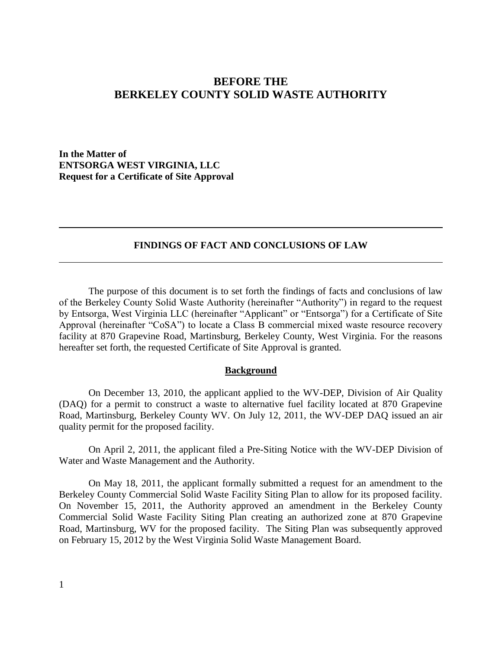# **BEFORE THE BERKELEY COUNTY SOLID WASTE AUTHORITY**

**In the Matter of ENTSORGA WEST VIRGINIA, LLC Request for a Certificate of Site Approval**

### **FINDINGS OF FACT AND CONCLUSIONS OF LAW**

The purpose of this document is to set forth the findings of facts and conclusions of law of the Berkeley County Solid Waste Authority (hereinafter "Authority") in regard to the request by Entsorga, West Virginia LLC (hereinafter "Applicant" or "Entsorga") for a Certificate of Site Approval (hereinafter "CoSA") to locate a Class B commercial mixed waste resource recovery facility at 870 Grapevine Road, Martinsburg, Berkeley County, West Virginia. For the reasons hereafter set forth, the requested Certificate of Site Approval is granted.

#### **Background**

On December 13, 2010, the applicant applied to the WV-DEP, Division of Air Quality (DAQ) for a permit to construct a waste to alternative fuel facility located at 870 Grapevine Road, Martinsburg, Berkeley County WV. On July 12, 2011, the WV-DEP DAQ issued an air quality permit for the proposed facility.

On April 2, 2011, the applicant filed a Pre-Siting Notice with the WV-DEP Division of Water and Waste Management and the Authority.

On May 18, 2011, the applicant formally submitted a request for an amendment to the Berkeley County Commercial Solid Waste Facility Siting Plan to allow for its proposed facility. On November 15, 2011, the Authority approved an amendment in the Berkeley County Commercial Solid Waste Facility Siting Plan creating an authorized zone at 870 Grapevine Road, Martinsburg, WV for the proposed facility. The Siting Plan was subsequently approved on February 15, 2012 by the West Virginia Solid Waste Management Board.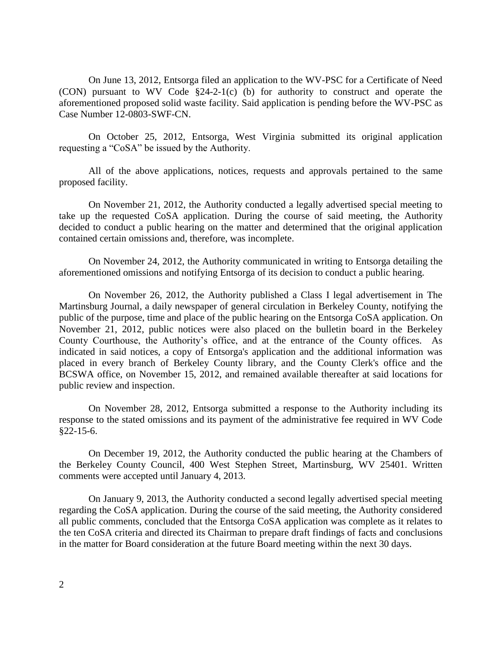On June 13, 2012, Entsorga filed an application to the WV-PSC for a Certificate of Need (CON) pursuant to WV Code §24-2-1(c) (b) for authority to construct and operate the aforementioned proposed solid waste facility. Said application is pending before the WV-PSC as Case Number 12-0803-SWF-CN.

On October 25, 2012, Entsorga, West Virginia submitted its original application requesting a "CoSA" be issued by the Authority.

All of the above applications, notices, requests and approvals pertained to the same proposed facility.

On November 21, 2012, the Authority conducted a legally advertised special meeting to take up the requested CoSA application. During the course of said meeting, the Authority decided to conduct a public hearing on the matter and determined that the original application contained certain omissions and, therefore, was incomplete.

On November 24, 2012, the Authority communicated in writing to Entsorga detailing the aforementioned omissions and notifying Entsorga of its decision to conduct a public hearing.

On November 26, 2012, the Authority published a Class I legal advertisement in The Martinsburg Journal, a daily newspaper of general circulation in Berkeley County, notifying the public of the purpose, time and place of the public hearing on the Entsorga CoSA application. On November 21, 2012, public notices were also placed on the bulletin board in the Berkeley County Courthouse, the Authority's office, and at the entrance of the County offices. As indicated in said notices, a copy of Entsorga's application and the additional information was placed in every branch of Berkeley County library, and the County Clerk's office and the BCSWA office, on November 15, 2012, and remained available thereafter at said locations for public review and inspection.

On November 28, 2012, Entsorga submitted a response to the Authority including its response to the stated omissions and its payment of the administrative fee required in WV Code §22-15-6.

On December 19, 2012, the Authority conducted the public hearing at the Chambers of the Berkeley County Council, 400 West Stephen Street, Martinsburg, WV 25401. Written comments were accepted until January 4, 2013.

On January 9, 2013, the Authority conducted a second legally advertised special meeting regarding the CoSA application. During the course of the said meeting, the Authority considered all public comments, concluded that the Entsorga CoSA application was complete as it relates to the ten CoSA criteria and directed its Chairman to prepare draft findings of facts and conclusions in the matter for Board consideration at the future Board meeting within the next 30 days.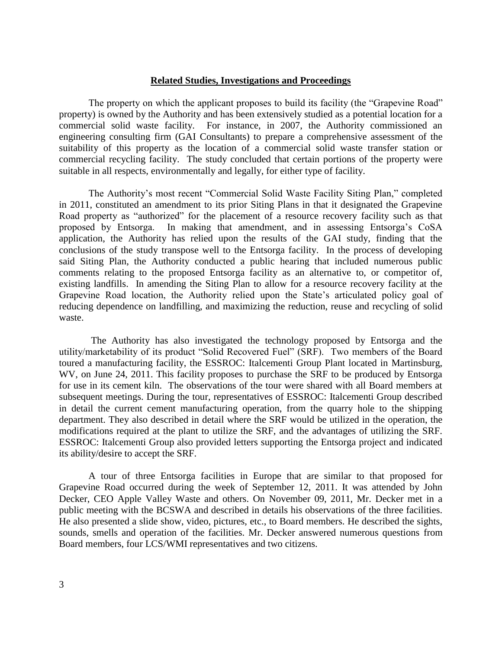#### **Related Studies, Investigations and Proceedings**

The property on which the applicant proposes to build its facility (the "Grapevine Road" property) is owned by the Authority and has been extensively studied as a potential location for a commercial solid waste facility. For instance, in 2007, the Authority commissioned an engineering consulting firm (GAI Consultants) to prepare a comprehensive assessment of the suitability of this property as the location of a commercial solid waste transfer station or commercial recycling facility. The study concluded that certain portions of the property were suitable in all respects, environmentally and legally, for either type of facility.

The Authority's most recent "Commercial Solid Waste Facility Siting Plan," completed in 2011, constituted an amendment to its prior Siting Plans in that it designated the Grapevine Road property as "authorized" for the placement of a resource recovery facility such as that proposed by Entsorga. In making that amendment, and in assessing Entsorga's CoSA application, the Authority has relied upon the results of the GAI study, finding that the conclusions of the study transpose well to the Entsorga facility. In the process of developing said Siting Plan, the Authority conducted a public hearing that included numerous public comments relating to the proposed Entsorga facility as an alternative to, or competitor of, existing landfills. In amending the Siting Plan to allow for a resource recovery facility at the Grapevine Road location, the Authority relied upon the State's articulated policy goal of reducing dependence on landfilling, and maximizing the reduction, reuse and recycling of solid waste.

The Authority has also investigated the technology proposed by Entsorga and the utility/marketability of its product "Solid Recovered Fuel" (SRF). Two members of the Board toured a manufacturing facility, the ESSROC: Italcementi Group Plant located in Martinsburg, WV, on June 24, 2011. This facility proposes to purchase the SRF to be produced by Entsorga for use in its cement kiln. The observations of the tour were shared with all Board members at subsequent meetings. During the tour, representatives of ESSROC: Italcementi Group described in detail the current cement manufacturing operation, from the quarry hole to the shipping department. They also described in detail where the SRF would be utilized in the operation, the modifications required at the plant to utilize the SRF, and the advantages of utilizing the SRF. ESSROC: Italcementi Group also provided letters supporting the Entsorga project and indicated its ability/desire to accept the SRF.

A tour of three Entsorga facilities in Europe that are similar to that proposed for Grapevine Road occurred during the week of September 12, 2011. It was attended by John Decker, CEO Apple Valley Waste and others. On November 09, 2011, Mr. Decker met in a public meeting with the BCSWA and described in details his observations of the three facilities. He also presented a slide show, video, pictures, etc., to Board members. He described the sights, sounds, smells and operation of the facilities. Mr. Decker answered numerous questions from Board members, four LCS/WMI representatives and two citizens.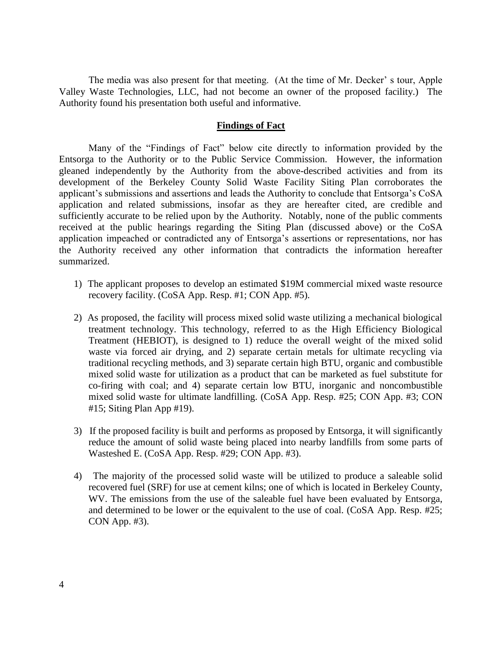The media was also present for that meeting. (At the time of Mr. Decker' s tour, Apple Valley Waste Technologies, LLC, had not become an owner of the proposed facility.) The Authority found his presentation both useful and informative.

### **Findings of Fact**

Many of the "Findings of Fact" below cite directly to information provided by the Entsorga to the Authority or to the Public Service Commission. However, the information gleaned independently by the Authority from the above-described activities and from its development of the Berkeley County Solid Waste Facility Siting Plan corroborates the applicant's submissions and assertions and leads the Authority to conclude that Entsorga's CoSA application and related submissions, insofar as they are hereafter cited, are credible and sufficiently accurate to be relied upon by the Authority. Notably, none of the public comments received at the public hearings regarding the Siting Plan (discussed above) or the CoSA application impeached or contradicted any of Entsorga's assertions or representations, nor has the Authority received any other information that contradicts the information hereafter summarized.

- 1) The applicant proposes to develop an estimated \$19M commercial mixed waste resource recovery facility. (CoSA App. Resp. #1; CON App. #5).
- 2) As proposed, the facility will process mixed solid waste utilizing a mechanical biological treatment technology. This technology, referred to as the High Efficiency Biological Treatment (HEBIOT), is designed to 1) reduce the overall weight of the mixed solid waste via forced air drying, and 2) separate certain metals for ultimate recycling via traditional recycling methods, and 3) separate certain high BTU, organic and combustible mixed solid waste for utilization as a product that can be marketed as fuel substitute for co-firing with coal; and 4) separate certain low BTU, inorganic and noncombustible mixed solid waste for ultimate landfilling. (CoSA App. Resp. #25; CON App. #3; CON #15; Siting Plan App #19).
- 3) If the proposed facility is built and performs as proposed by Entsorga, it will significantly reduce the amount of solid waste being placed into nearby landfills from some parts of Wasteshed E. (CoSA App. Resp. #29; CON App. #3).
- 4) The majority of the processed solid waste will be utilized to produce a saleable solid recovered fuel (SRF) for use at cement kilns; one of which is located in Berkeley County, WV. The emissions from the use of the saleable fuel have been evaluated by Entsorga, and determined to be lower or the equivalent to the use of coal. (CoSA App. Resp. #25; CON App. #3).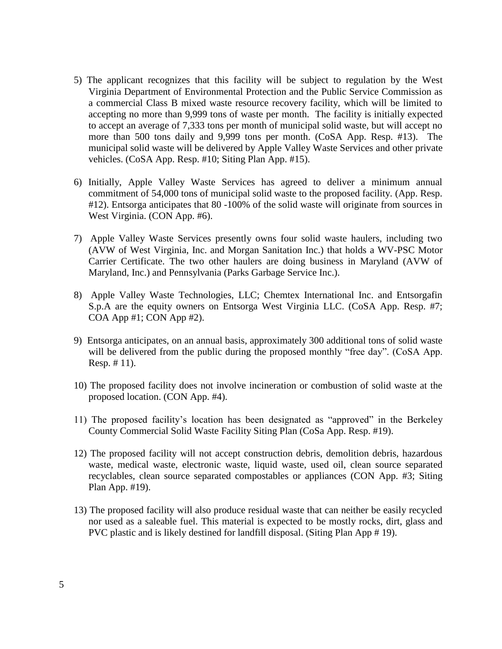- 5) The applicant recognizes that this facility will be subject to regulation by the West Virginia Department of Environmental Protection and the Public Service Commission as a commercial Class B mixed waste resource recovery facility, which will be limited to accepting no more than 9,999 tons of waste per month. The facility is initially expected to accept an average of 7,333 tons per month of municipal solid waste, but will accept no more than 500 tons daily and 9,999 tons per month. (CoSA App. Resp. #13). The municipal solid waste will be delivered by Apple Valley Waste Services and other private vehicles. (CoSA App. Resp. #10; Siting Plan App. #15).
- 6) Initially, Apple Valley Waste Services has agreed to deliver a minimum annual commitment of 54,000 tons of municipal solid waste to the proposed facility. (App. Resp. #12). Entsorga anticipates that 80 -100% of the solid waste will originate from sources in West Virginia. (CON App. #6).
- 7) Apple Valley Waste Services presently owns four solid waste haulers, including two (AVW of West Virginia, Inc. and Morgan Sanitation Inc.) that holds a WV-PSC Motor Carrier Certificate. The two other haulers are doing business in Maryland (AVW of Maryland, Inc.) and Pennsylvania (Parks Garbage Service Inc.).
- 8) Apple Valley Waste Technologies, LLC; Chemtex International Inc. and Entsorgafin S.p.A are the equity owners on Entsorga West Virginia LLC. (CoSA App. Resp. #7; COA App #1; CON App #2).
- 9) Entsorga anticipates, on an annual basis, approximately 300 additional tons of solid waste will be delivered from the public during the proposed monthly "free day". (CoSA App. Resp. # 11).
- 10) The proposed facility does not involve incineration or combustion of solid waste at the proposed location. (CON App. #4).
- 11) The proposed facility's location has been designated as "approved" in the Berkeley County Commercial Solid Waste Facility Siting Plan (CoSa App. Resp. #19).
- 12) The proposed facility will not accept construction debris, demolition debris, hazardous waste, medical waste, electronic waste, liquid waste, used oil, clean source separated recyclables, clean source separated compostables or appliances (CON App. #3; Siting Plan App. #19).
- 13) The proposed facility will also produce residual waste that can neither be easily recycled nor used as a saleable fuel. This material is expected to be mostly rocks, dirt, glass and PVC plastic and is likely destined for landfill disposal. (Siting Plan App # 19).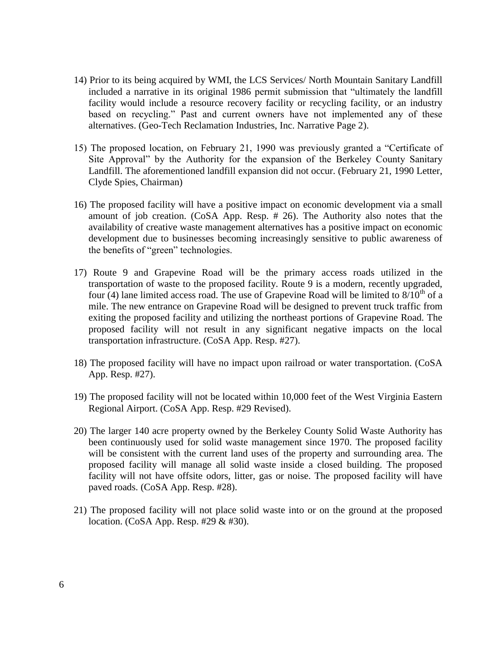- 14) Prior to its being acquired by WMI, the LCS Services/ North Mountain Sanitary Landfill included a narrative in its original 1986 permit submission that "ultimately the landfill facility would include a resource recovery facility or recycling facility, or an industry based on recycling." Past and current owners have not implemented any of these alternatives. (Geo-Tech Reclamation Industries, Inc. Narrative Page 2).
- 15) The proposed location, on February 21, 1990 was previously granted a "Certificate of Site Approval" by the Authority for the expansion of the Berkeley County Sanitary Landfill. The aforementioned landfill expansion did not occur. (February 21, 1990 Letter, Clyde Spies, Chairman)
- 16) The proposed facility will have a positive impact on economic development via a small amount of job creation. (CoSA App. Resp. # 26). The Authority also notes that the availability of creative waste management alternatives has a positive impact on economic development due to businesses becoming increasingly sensitive to public awareness of the benefits of "green" technologies.
- 17) Route 9 and Grapevine Road will be the primary access roads utilized in the transportation of waste to the proposed facility. Route 9 is a modern, recently upgraded, four (4) lane limited access road. The use of Grapevine Road will be limited to  $8/10^{th}$  of a mile. The new entrance on Grapevine Road will be designed to prevent truck traffic from exiting the proposed facility and utilizing the northeast portions of Grapevine Road. The proposed facility will not result in any significant negative impacts on the local transportation infrastructure. (CoSA App. Resp. #27).
- 18) The proposed facility will have no impact upon railroad or water transportation. (CoSA App. Resp. #27).
- 19) The proposed facility will not be located within 10,000 feet of the West Virginia Eastern Regional Airport. (CoSA App. Resp. #29 Revised).
- 20) The larger 140 acre property owned by the Berkeley County Solid Waste Authority has been continuously used for solid waste management since 1970. The proposed facility will be consistent with the current land uses of the property and surrounding area. The proposed facility will manage all solid waste inside a closed building. The proposed facility will not have offsite odors, litter, gas or noise. The proposed facility will have paved roads. (CoSA App. Resp. #28).
- 21) The proposed facility will not place solid waste into or on the ground at the proposed location. (CoSA App. Resp. #29 & #30).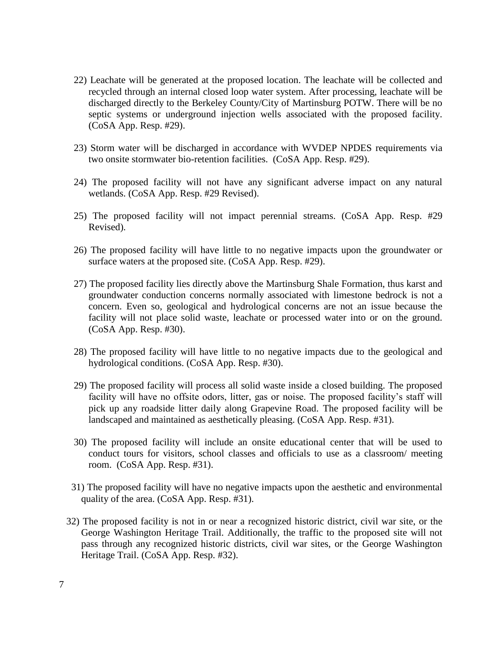- 22) Leachate will be generated at the proposed location. The leachate will be collected and recycled through an internal closed loop water system. After processing, leachate will be discharged directly to the Berkeley County/City of Martinsburg POTW. There will be no septic systems or underground injection wells associated with the proposed facility. (CoSA App. Resp. #29).
- 23) Storm water will be discharged in accordance with WVDEP NPDES requirements via two onsite stormwater bio-retention facilities. (CoSA App. Resp. #29).
- 24) The proposed facility will not have any significant adverse impact on any natural wetlands. (CoSA App. Resp. #29 Revised).
- 25) The proposed facility will not impact perennial streams. (CoSA App. Resp. #29 Revised).
- 26) The proposed facility will have little to no negative impacts upon the groundwater or surface waters at the proposed site. (CoSA App. Resp. #29).
- 27) The proposed facility lies directly above the Martinsburg Shale Formation, thus karst and groundwater conduction concerns normally associated with limestone bedrock is not a concern. Even so, geological and hydrological concerns are not an issue because the facility will not place solid waste, leachate or processed water into or on the ground. (CoSA App. Resp. #30).
- 28) The proposed facility will have little to no negative impacts due to the geological and hydrological conditions. (CoSA App. Resp. #30).
- 29) The proposed facility will process all solid waste inside a closed building. The proposed facility will have no offsite odors, litter, gas or noise. The proposed facility's staff will pick up any roadside litter daily along Grapevine Road. The proposed facility will be landscaped and maintained as aesthetically pleasing. (CoSA App. Resp. #31).
- 30) The proposed facility will include an onsite educational center that will be used to conduct tours for visitors, school classes and officials to use as a classroom/ meeting room. (CoSA App. Resp. #31).
- 31) The proposed facility will have no negative impacts upon the aesthetic and environmental quality of the area. (CoSA App. Resp. #31).
- 32) The proposed facility is not in or near a recognized historic district, civil war site, or the George Washington Heritage Trail. Additionally, the traffic to the proposed site will not pass through any recognized historic districts, civil war sites, or the George Washington Heritage Trail. (CoSA App. Resp. #32).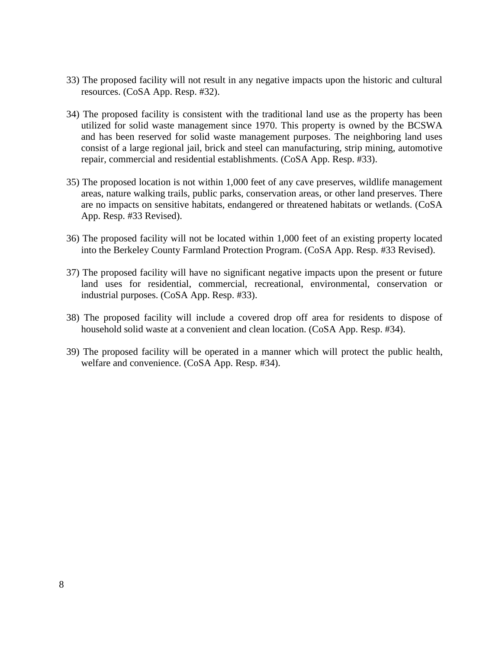- 33) The proposed facility will not result in any negative impacts upon the historic and cultural resources. (CoSA App. Resp. #32).
- 34) The proposed facility is consistent with the traditional land use as the property has been utilized for solid waste management since 1970. This property is owned by the BCSWA and has been reserved for solid waste management purposes. The neighboring land uses consist of a large regional jail, brick and steel can manufacturing, strip mining, automotive repair, commercial and residential establishments. (CoSA App. Resp. #33).
- 35) The proposed location is not within 1,000 feet of any cave preserves, wildlife management areas, nature walking trails, public parks, conservation areas, or other land preserves. There are no impacts on sensitive habitats, endangered or threatened habitats or wetlands. (CoSA App. Resp. #33 Revised).
- 36) The proposed facility will not be located within 1,000 feet of an existing property located into the Berkeley County Farmland Protection Program. (CoSA App. Resp. #33 Revised).
- 37) The proposed facility will have no significant negative impacts upon the present or future land uses for residential, commercial, recreational, environmental, conservation or industrial purposes. (CoSA App. Resp. #33).
- 38) The proposed facility will include a covered drop off area for residents to dispose of household solid waste at a convenient and clean location. (CoSA App. Resp. #34).
- 39) The proposed facility will be operated in a manner which will protect the public health, welfare and convenience. (CoSA App. Resp. #34).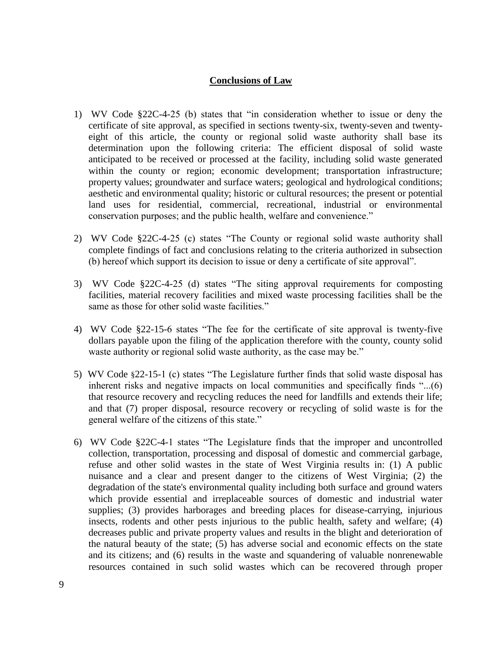# **Conclusions of Law**

- 1) WV Code §22C-4-25 (b) states that "in consideration whether to issue or deny the certificate of site approval, as specified in sections twenty-six, twenty-seven and twentyeight of this article, the county or regional solid waste authority shall base its determination upon the following criteria: The efficient disposal of solid waste anticipated to be received or processed at the facility, including solid waste generated within the county or region; economic development; transportation infrastructure; property values; groundwater and surface waters; geological and hydrological conditions; aesthetic and environmental quality; historic or cultural resources; the present or potential land uses for residential, commercial, recreational, industrial or environmental conservation purposes; and the public health, welfare and convenience."
- 2) WV Code §22C-4-25 (c) states "The County or regional solid waste authority shall complete findings of fact and conclusions relating to the criteria authorized in subsection (b) hereof which support its decision to issue or deny a certificate of site approval".
- 3) WV Code §22C-4-25 (d) states "The siting approval requirements for composting facilities, material recovery facilities and mixed waste processing facilities shall be the same as those for other solid waste facilities."
- 4) WV Code §22-15-6 states "The fee for the certificate of site approval is twenty-five dollars payable upon the filing of the application therefore with the county, county solid waste authority or regional solid waste authority, as the case may be."
- 5) WV Code §22-15-1 (c) states "The Legislature further finds that solid waste disposal has inherent risks and negative impacts on local communities and specifically finds "...(6) that resource recovery and recycling reduces the need for landfills and extends their life; and that (7) proper disposal, resource recovery or recycling of solid waste is for the general welfare of the citizens of this state."
- 6) WV Code §22C-4-1 states "The Legislature finds that the improper and uncontrolled collection, transportation, processing and disposal of domestic and commercial garbage, refuse and other solid wastes in the state of West Virginia results in: (1) A public nuisance and a clear and present danger to the citizens of West Virginia; (2) the degradation of the state's environmental quality including both surface and ground waters which provide essential and irreplaceable sources of domestic and industrial water supplies; (3) provides harborages and breeding places for disease-carrying, injurious insects, rodents and other pests injurious to the public health, safety and welfare; (4) decreases public and private property values and results in the blight and deterioration of the natural beauty of the state; (5) has adverse social and economic effects on the state and its citizens; and (6) results in the waste and squandering of valuable nonrenewable resources contained in such solid wastes which can be recovered through proper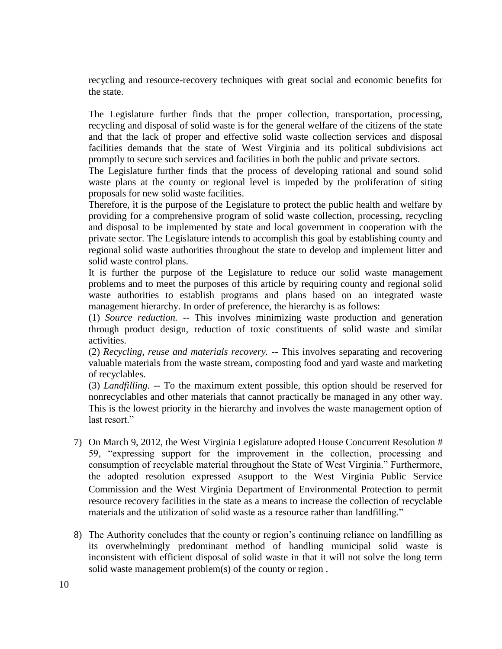recycling and resource-recovery techniques with great social and economic benefits for the state.

The Legislature further finds that the proper collection, transportation, processing, recycling and disposal of solid waste is for the general welfare of the citizens of the state and that the lack of proper and effective solid waste collection services and disposal facilities demands that the state of West Virginia and its political subdivisions act promptly to secure such services and facilities in both the public and private sectors.

The Legislature further finds that the process of developing rational and sound solid waste plans at the county or regional level is impeded by the proliferation of siting proposals for new solid waste facilities.

Therefore, it is the purpose of the Legislature to protect the public health and welfare by providing for a comprehensive program of solid waste collection, processing, recycling and disposal to be implemented by state and local government in cooperation with the private sector. The Legislature intends to accomplish this goal by establishing county and regional solid waste authorities throughout the state to develop and implement litter and solid waste control plans.

It is further the purpose of the Legislature to reduce our solid waste management problems and to meet the purposes of this article by requiring county and regional solid waste authorities to establish programs and plans based on an integrated waste management hierarchy. In order of preference, the hierarchy is as follows:

(1) *Source reduction.* -- This involves minimizing waste production and generation through product design, reduction of toxic constituents of solid waste and similar activities.

(2) *Recycling, reuse and materials recovery.* -- This involves separating and recovering valuable materials from the waste stream, composting food and yard waste and marketing of recyclables.

(3) *Landfilling.* -- To the maximum extent possible, this option should be reserved for nonrecyclables and other materials that cannot practically be managed in any other way. This is the lowest priority in the hierarchy and involves the waste management option of last resort."

- 7) On March 9, 2012, the West Virginia Legislature adopted House Concurrent Resolution # 59, "expressing support for the improvement in the collection, processing and consumption of recyclable material throughout the State of West Virginia." Furthermore, the adopted resolution expressed Asupport to the West Virginia Public Service Commission and the West Virginia Department of Environmental Protection to permit resource recovery facilities in the state as a means to increase the collection of recyclable materials and the utilization of solid waste as a resource rather than landfilling."
- 8) The Authority concludes that the county or region's continuing reliance on landfilling as its overwhelmingly predominant method of handling municipal solid waste is inconsistent with efficient disposal of solid waste in that it will not solve the long term solid waste management problem(s) of the county or region .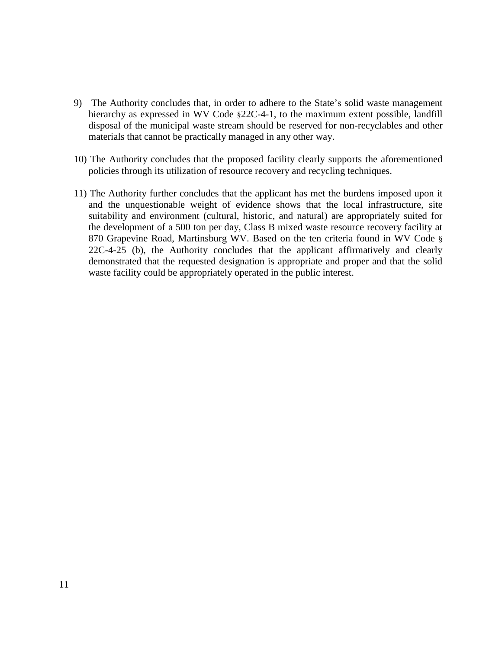- 9) The Authority concludes that, in order to adhere to the State's solid waste management hierarchy as expressed in WV Code §22C-4-1, to the maximum extent possible, landfill disposal of the municipal waste stream should be reserved for non-recyclables and other materials that cannot be practically managed in any other way.
- 10) The Authority concludes that the proposed facility clearly supports the aforementioned policies through its utilization of resource recovery and recycling techniques.
- 11) The Authority further concludes that the applicant has met the burdens imposed upon it and the unquestionable weight of evidence shows that the local infrastructure, site suitability and environment (cultural, historic, and natural) are appropriately suited for the development of a 500 ton per day, Class B mixed waste resource recovery facility at 870 Grapevine Road, Martinsburg WV. Based on the ten criteria found in WV Code § 22C-4-25 (b), the Authority concludes that the applicant affirmatively and clearly demonstrated that the requested designation is appropriate and proper and that the solid waste facility could be appropriately operated in the public interest.